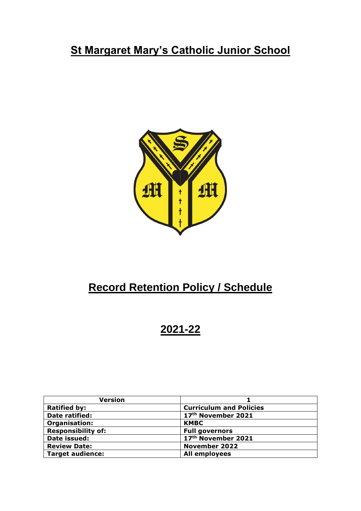# **St Margaret Mary's Catholic Junior School**



# **Record Retention Policy / Schedule**

# **2021-22**

| Version                   |                                |
|---------------------------|--------------------------------|
| <b>Ratified by:</b>       | <b>Curriculum and Policies</b> |
| Date ratified:            | 17th November 2021             |
| Organisation:             | <b>KMBC</b>                    |
| <b>Responsibility of:</b> | <b>Full governors</b>          |
| Date issued:              | 17th November 2021             |
| <b>Review Date:</b>       | <b>November 2022</b>           |
| <b>Target audience:</b>   | <b>All employees</b>           |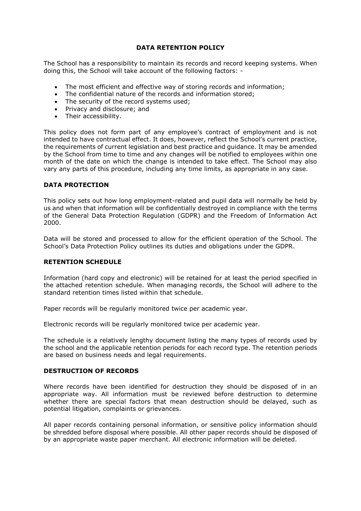# **DATA RETENTION POLICY**

The School has a responsibility to maintain its records and record keeping systems. When doing this, the School will take account of the following factors: -

- The most efficient and effective way of storing records and information;
- The confidential nature of the records and information stored;
- The security of the record systems used;
- Privacy and disclosure; and
- Their accessibility.

This policy does not form part of any employee's contract of employment and is not intended to have contractual effect. It does, however, reflect the School's current practice, the requirements of current legislation and best practice and guidance. It may be amended by the School from time to time and any changes will be notified to employees within one month of the date on which the change is intended to take effect. The School may also vary any parts of this procedure, including any time limits, as appropriate in any case.

# **DATA PROTECTION**

This policy sets out how long employment-related and pupil data will normally be held by us and when that information will be confidentially destroyed in compliance with the terms of the General Data Protection Regulation (GDPR) and the Freedom of Information Act 2000.

Data will be stored and processed to allow for the efficient operation of the School. The School's Data Protection Policy outlines its duties and obligations under the GDPR.

# **RETENTION SCHEDULE**

Information (hard copy and electronic) will be retained for at least the period specified in the attached retention schedule. When managing records, the School will adhere to the standard retention times listed within that schedule.

Paper records will be regularly monitored twice per academic year.

Electronic records will be regularly monitored twice per academic year.

The schedule is a relatively lengthy document listing the many types of records used by the school and the applicable retention periods for each record type. The retention periods are based on business needs and legal requirements.

# **DESTRUCTION OF RECORDS**

Where records have been identified for destruction they should be disposed of in an appropriate way. All information must be reviewed before destruction to determine whether there are special factors that mean destruction should be delayed, such as potential litigation, complaints or grievances.

All paper records containing personal information, or sensitive policy information should be shredded before disposal where possible. All other paper records should be disposed of by an appropriate waste paper merchant. All electronic information will be deleted.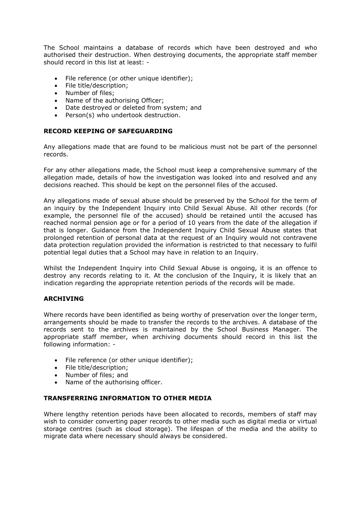The School maintains a database of records which have been destroyed and who authorised their destruction. When destroying documents, the appropriate staff member should record in this list at least: -

- File reference (or other unique identifier);
- File title/description;
- Number of files;
- Name of the authorising Officer;
- Date destroyed or deleted from system; and
- Person(s) who undertook destruction.

# **RECORD KEEPING OF SAFEGUARDING**

Any allegations made that are found to be malicious must not be part of the personnel records.

For any other allegations made, the School must keep a comprehensive summary of the allegation made, details of how the investigation was looked into and resolved and any decisions reached. This should be kept on the personnel files of the accused.

Any allegations made of sexual abuse should be preserved by the School for the term of an inquiry by the Independent Inquiry into Child Sexual Abuse. All other records (for example, the personnel file of the accused) should be retained until the accused has reached normal pension age or for a period of 10 years from the date of the allegation if that is longer. Guidance from the Independent Inquiry Child Sexual Abuse states that prolonged retention of personal data at the request of an Inquiry would not contravene data protection regulation provided the information is restricted to that necessary to fulfil potential legal duties that a School may have in relation to an Inquiry.

Whilst the Independent Inquiry into Child Sexual Abuse is ongoing, it is an offence to destroy any records relating to it. At the conclusion of the Inquiry, it is likely that an indication regarding the appropriate retention periods of the records will be made.

# **ARCHIVING**

Where records have been identified as being worthy of preservation over the longer term, arrangements should be made to transfer the records to the archives. A database of the records sent to the archives is maintained by the School Business Manager. The appropriate staff member, when archiving documents should record in this list the following information: -

- File reference (or other unique identifier);
- File title/description;
- Number of files; and
- Name of the authorising officer.

# **TRANSFERRING INFORMATION TO OTHER MEDIA**

Where lengthy retention periods have been allocated to records, members of staff may wish to consider converting paper records to other media such as digital media or virtual storage centres (such as cloud storage). The lifespan of the media and the ability to migrate data where necessary should always be considered.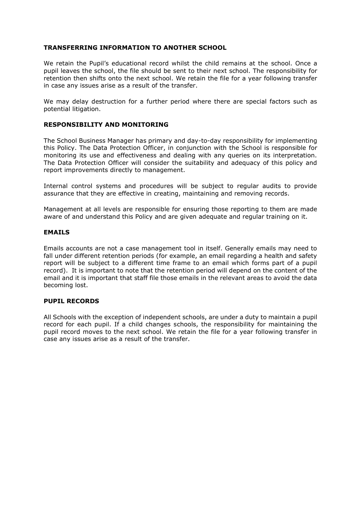# **TRANSFERRING INFORMATION TO ANOTHER SCHOOL**

We retain the Pupil's educational record whilst the child remains at the school. Once a pupil leaves the school, the file should be sent to their next school. The responsibility for retention then shifts onto the next school. We retain the file for a year following transfer in case any issues arise as a result of the transfer.

We may delay destruction for a further period where there are special factors such as potential litigation.

# **RESPONSIBILITY AND MONITORING**

The School Business Manager has primary and day-to-day responsibility for implementing this Policy. The Data Protection Officer, in conjunction with the School is responsible for monitoring its use and effectiveness and dealing with any queries on its interpretation. The Data Protection Officer will consider the suitability and adequacy of this policy and report improvements directly to management.

Internal control systems and procedures will be subject to regular audits to provide assurance that they are effective in creating, maintaining and removing records.

Management at all levels are responsible for ensuring those reporting to them are made aware of and understand this Policy and are given adequate and regular training on it.

# **EMAILS**

Emails accounts are not a case management tool in itself. Generally emails may need to fall under different retention periods (for example, an email regarding a health and safety report will be subject to a different time frame to an email which forms part of a pupil record). It is important to note that the retention period will depend on the content of the email and it is important that staff file those emails in the relevant areas to avoid the data becoming lost.

# **PUPIL RECORDS**

All Schools with the exception of independent schools, are under a duty to maintain a pupil record for each pupil. If a child changes schools, the responsibility for maintaining the pupil record moves to the next school. We retain the file for a year following transfer in case any issues arise as a result of the transfer.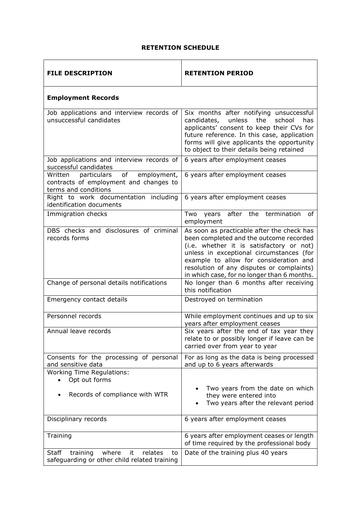# **RETENTION SCHEDULE**

| <b>FILE DESCRIPTION</b>                                                                                       | <b>RETENTION PERIOD</b>                                                                                                                                                                                                                                                                                             |
|---------------------------------------------------------------------------------------------------------------|---------------------------------------------------------------------------------------------------------------------------------------------------------------------------------------------------------------------------------------------------------------------------------------------------------------------|
| <b>Employment Records</b>                                                                                     |                                                                                                                                                                                                                                                                                                                     |
| Job applications and interview records of<br>unsuccessful candidates                                          | Six months after notifying unsuccessful<br>unless<br>the<br>candidates,<br>school<br>has<br>applicants' consent to keep their CVs for<br>future reference. In this case, application<br>forms will give applicants the opportunity<br>to object to their details being retained                                     |
| Job applications and interview records of<br>successful candidates                                            | 6 years after employment ceases                                                                                                                                                                                                                                                                                     |
| employment,<br>Written<br>particulars<br>of<br>contracts of employment and changes to<br>terms and conditions | 6 years after employment ceases                                                                                                                                                                                                                                                                                     |
| Right to work documentation including<br>identification documents                                             | 6 years after employment ceases                                                                                                                                                                                                                                                                                     |
| Immigration checks                                                                                            | years after the termination<br>Two<br>of<br>employment                                                                                                                                                                                                                                                              |
| DBS checks and disclosures of criminal<br>records forms                                                       | As soon as practicable after the check has<br>been completed and the outcome recorded<br>(i.e. whether it is satisfactory or not)<br>unless in exceptional circumstances (for<br>example to allow for consideration and<br>resolution of any disputes or complaints)<br>in which case, for no longer than 6 months. |
| Change of personal details notifications                                                                      | No longer than 6 months after receiving<br>this notification                                                                                                                                                                                                                                                        |
| Emergency contact details                                                                                     | Destroyed on termination                                                                                                                                                                                                                                                                                            |
| Personnel records                                                                                             | While employment continues and up to six<br>years after employment ceases                                                                                                                                                                                                                                           |
| Annual leave records                                                                                          | Six years after the end of tax year they<br>relate to or possibly longer if leave can be<br>carried over from year to year                                                                                                                                                                                          |
| Consents for the processing of personal<br>and sensitive data                                                 | For as long as the data is being processed<br>and up to 6 years afterwards                                                                                                                                                                                                                                          |
| <b>Working Time Regulations:</b><br>Opt out forms<br>Records of compliance with WTR                           | Two years from the date on which<br>they were entered into<br>Two years after the relevant period                                                                                                                                                                                                                   |
| Disciplinary records                                                                                          | 6 years after employment ceases                                                                                                                                                                                                                                                                                     |
| Training                                                                                                      | 6 years after employment ceases or length<br>of time required by the professional body                                                                                                                                                                                                                              |
| <b>Staff</b><br>where<br>relates<br>training<br>it<br>to<br>safeguarding or other child related training      | Date of the training plus 40 years                                                                                                                                                                                                                                                                                  |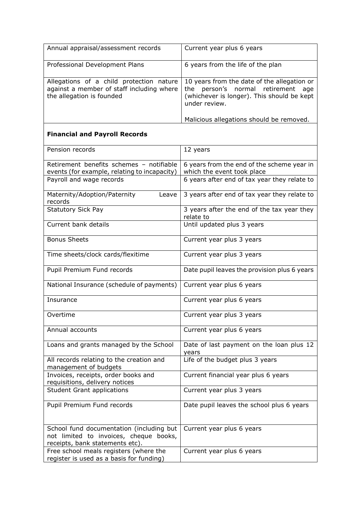| Annual appraisal/assessment records                                       | Current year plus 6 years                         |
|---------------------------------------------------------------------------|---------------------------------------------------|
| Professional Development Plans                                            | 6 years from the life of the plan                 |
| Allegations of a child protection nature                                  | 10 years from the date of the allegation or       |
| against a member of staff including where                                 | the person's normal retirement<br>age             |
| the allegation is founded                                                 | (whichever is longer). This should be kept        |
|                                                                           | under review.                                     |
|                                                                           | Malicious allegations should be removed.          |
| <b>Financial and Payroll Records</b>                                      |                                                   |
| Pension records                                                           | 12 years                                          |
| Retirement benefits schemes - notifiable                                  | 6 years from the end of the scheme year in        |
| events (for example, relating to incapacity)                              | which the event took place                        |
| Payroll and wage records                                                  | 6 years after end of tax year they relate to      |
| Maternity/Adoption/Paternity<br>Leave<br>records                          | 3 years after end of tax year they relate to      |
| <b>Statutory Sick Pay</b>                                                 | 3 years after the end of the tax year they        |
|                                                                           | relate to                                         |
| Current bank details                                                      | Until updated plus 3 years                        |
| <b>Bonus Sheets</b>                                                       | Current year plus 3 years                         |
| Time sheets/clock cards/flexitime                                         | Current year plus 3 years                         |
| Pupil Premium Fund records                                                | Date pupil leaves the provision plus 6 years      |
| National Insurance (schedule of payments)                                 | Current year plus 6 years                         |
| Insurance                                                                 | Current year plus 6 years                         |
| Overtime                                                                  | Current year plus 3 years                         |
| Annual accounts                                                           | Current year plus 6 years                         |
| Loans and grants managed by the School                                    | Date of last payment on the loan plus 12<br>years |
| All records relating to the creation and<br>management of budgets         | Life of the budget plus 3 years                   |
| Invoices, receipts, order books and                                       | Current financial year plus 6 years               |
| requisitions, delivery notices                                            |                                                   |
| <b>Student Grant applications</b>                                         | Current year plus 3 years                         |
| Pupil Premium Fund records                                                | Date pupil leaves the school plus 6 years         |
| School fund documentation (including but                                  | Current year plus 6 years                         |
| not limited to invoices, cheque books,<br>receipts, bank statements etc). |                                                   |
| Free school meals registers (where the                                    | Current year plus 6 years                         |
| register is used as a basis for funding)                                  |                                                   |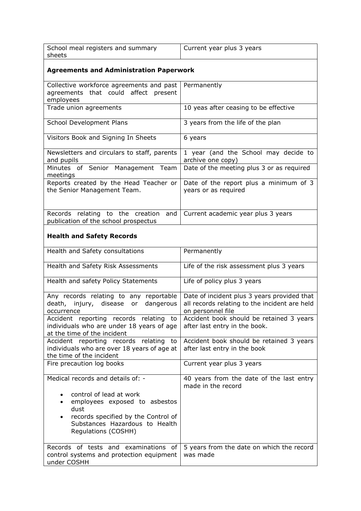| School meal registers and summary<br>sheets                                                                                                                           | Current year plus 3 years                                                                                         |
|-----------------------------------------------------------------------------------------------------------------------------------------------------------------------|-------------------------------------------------------------------------------------------------------------------|
| <b>Agreements and Administration Paperwork</b>                                                                                                                        |                                                                                                                   |
| Collective workforce agreements and past<br>agreements that could affect present<br>employees                                                                         | Permanently                                                                                                       |
| Trade union agreements                                                                                                                                                | 10 yeas after ceasing to be effective                                                                             |
| School Development Plans                                                                                                                                              | 3 years from the life of the plan                                                                                 |
| Visitors Book and Signing In Sheets                                                                                                                                   | 6 years                                                                                                           |
| Newsletters and circulars to staff, parents<br>and pupils                                                                                                             | 1 year (and the School may decide to<br>archive one copy)                                                         |
| Minutes of Senior Management Team<br>meetings                                                                                                                         | Date of the meeting plus 3 or as required                                                                         |
| Reports created by the Head Teacher or<br>the Senior Management Team.                                                                                                 | Date of the report plus a minimum of 3<br>years or as required                                                    |
| Records relating to the creation<br>and<br>publication of the school prospectus                                                                                       | Current academic year plus 3 years                                                                                |
| <b>Health and Safety Records</b>                                                                                                                                      |                                                                                                                   |
| Health and Safety consultations                                                                                                                                       | Permanently                                                                                                       |
| Health and Safety Risk Assessments                                                                                                                                    | Life of the risk assessment plus 3 years                                                                          |
| Health and safety Policy Statements                                                                                                                                   | Life of policy plus 3 years                                                                                       |
| Any records relating to any reportable<br>death, injury, disease or<br>dangerous<br>occurrence                                                                        | Date of incident plus 3 years provided that<br>all records relating to the incident are held<br>on personnel file |
| Accident reporting records relating to<br>individuals who are under 18 years of age<br>at the time of the incident                                                    | Accident book should be retained 3 years<br>after last entry in the book.                                         |
| Accident reporting records relating to<br>individuals who are over 18 years of age at<br>the time of the incident                                                     | Accident book should be retained 3 years<br>after last entry in the book                                          |
| Fire precaution log books                                                                                                                                             | Current year plus 3 years                                                                                         |
| Medical records and details of: -                                                                                                                                     | 40 years from the date of the last entry<br>made in the record                                                    |
| control of lead at work<br>employees exposed to asbestos<br>dust<br>records specified by the Control of<br>٠<br>Substances Hazardous to Health<br>Regulations (COSHH) |                                                                                                                   |
| Records of tests and examinations of<br>control systems and protection equipment<br>under COSHH                                                                       | 5 years from the date on which the record<br>was made                                                             |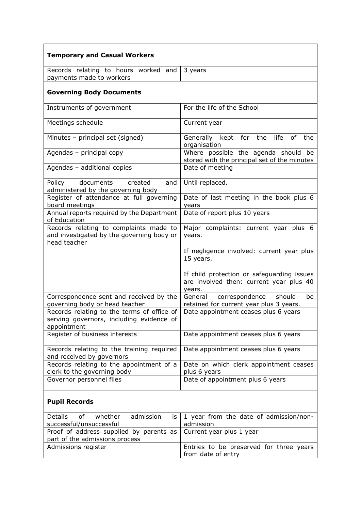| <b>Temporary and Casual Workers</b>                                                                   |                                                                                                 |
|-------------------------------------------------------------------------------------------------------|-------------------------------------------------------------------------------------------------|
| Records relating to hours worked and<br>payments made to workers                                      | 3 years                                                                                         |
| <b>Governing Body Documents</b>                                                                       |                                                                                                 |
| Instruments of government                                                                             | For the life of the School                                                                      |
| Meetings schedule                                                                                     | Current year                                                                                    |
| Minutes - principal set (signed)                                                                      | Generally kept for the life<br>of the<br>organisation                                           |
| Agendas - principal copy                                                                              | Where possible the agenda should be<br>stored with the principal set of the minutes             |
| Agendas - additional copies                                                                           | Date of meeting                                                                                 |
| documents<br>Policy<br>created<br>and<br>administered by the governing body                           | Until replaced.                                                                                 |
| Register of attendance at full governing<br>board meetings                                            | Date of last meeting in the book plus 6<br>years                                                |
| Annual reports required by the Department<br>of Education                                             | Date of report plus 10 years                                                                    |
| Records relating to complaints made to<br>and investigated by the governing body or<br>head teacher   | Major complaints: current year plus 6<br>years.                                                 |
|                                                                                                       | If negligence involved: current year plus<br>15 years.                                          |
|                                                                                                       | If child protection or safeguarding issues<br>are involved then: current year plus 40<br>years. |
| Correspondence sent and received by the<br>governing body or head teacher                             | correspondence<br>General<br>should<br>be<br>retained for current year plus 3 years.            |
| Records relating to the terms of office of<br>serving governors, including evidence of<br>appointment | Date appointment ceases plus 6 years                                                            |
| Register of business interests                                                                        | Date appointment ceases plus 6 years                                                            |
| Records relating to the training required<br>and received by governors                                | Date appointment ceases plus 6 years                                                            |
| Records relating to the appointment of a<br>clerk to the governing body                               | Date on which clerk appointment ceases<br>plus 6 years                                          |
| Governor personnel files                                                                              | Date of appointment plus 6 years                                                                |
| <b>Pupil Records</b>                                                                                  |                                                                                                 |
| <b>Details</b><br>0f<br>whether<br>admission<br>is<br>successful/unsuccessful                         | 1 year from the date of admission/non-<br>admission                                             |
| Proof of address supplied by parents as<br>part of the admissions process                             | Current year plus 1 year                                                                        |
| Admissions register                                                                                   | Entries to be preserved for three years<br>from date of entry                                   |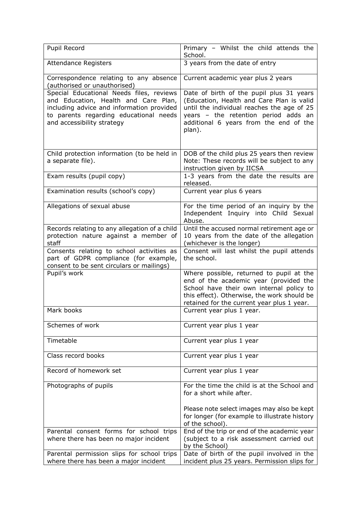| Pupil Record                                                                                                                                                                                          | Primary - Whilst the child attends the<br>School.                                                                                                                                                                               |
|-------------------------------------------------------------------------------------------------------------------------------------------------------------------------------------------------------|---------------------------------------------------------------------------------------------------------------------------------------------------------------------------------------------------------------------------------|
| <b>Attendance Registers</b>                                                                                                                                                                           | 3 years from the date of entry                                                                                                                                                                                                  |
| Correspondence relating to any absence<br>(authorised or unauthorised)                                                                                                                                | Current academic year plus 2 years                                                                                                                                                                                              |
| Special Educational Needs files, reviews<br>and Education, Health and Care Plan,<br>including advice and information provided<br>to parents regarding educational needs<br>and accessibility strategy | Date of birth of the pupil plus 31 years<br>(Education, Health and Care Plan is valid<br>until the individual reaches the age of 25<br>years - the retention period adds an<br>additional 6 years from the end of the<br>plan). |
| Child protection information (to be held in<br>a separate file).                                                                                                                                      | DOB of the child plus 25 years then review<br>Note: These records will be subject to any<br>instruction given by IICSA                                                                                                          |
| Exam results (pupil copy)                                                                                                                                                                             | 1-3 years from the date the results are<br>released.                                                                                                                                                                            |
| Examination results (school's copy)                                                                                                                                                                   | Current year plus 6 years                                                                                                                                                                                                       |
| Allegations of sexual abuse                                                                                                                                                                           | For the time period of an inquiry by the<br>Independent Inquiry into Child Sexual<br>Abuse.                                                                                                                                     |
| Records relating to any allegation of a child<br>protection nature against a member of<br>staff                                                                                                       | Until the accused normal retirement age or<br>10 years from the date of the allegation<br>(whichever is the longer)                                                                                                             |
| Consents relating to school activities as<br>part of GDPR compliance (for example,<br>consent to be sent circulars or mailings)                                                                       | Consent will last whilst the pupil attends<br>the school.                                                                                                                                                                       |
| Pupil's work                                                                                                                                                                                          | Where possible, returned to pupil at the<br>end of the academic year (provided the<br>School have their own internal policy to<br>this effect). Otherwise, the work should be<br>retained for the current year plus 1 year.     |
| Mark books                                                                                                                                                                                            | Current year plus 1 year.                                                                                                                                                                                                       |
| Schemes of work                                                                                                                                                                                       | Current year plus 1 year                                                                                                                                                                                                        |
| Timetable                                                                                                                                                                                             | Current year plus 1 year                                                                                                                                                                                                        |
| Class record books                                                                                                                                                                                    | Current year plus 1 year                                                                                                                                                                                                        |
| Record of homework set                                                                                                                                                                                | Current year plus 1 year                                                                                                                                                                                                        |
| Photographs of pupils                                                                                                                                                                                 | For the time the child is at the School and<br>for a short while after.                                                                                                                                                         |
|                                                                                                                                                                                                       | Please note select images may also be kept<br>for longer (for example to illustrate history<br>of the school).                                                                                                                  |
| Parental consent forms for school trips<br>where there has been no major incident                                                                                                                     | End of the trip or end of the academic year<br>(subject to a risk assessment carried out<br>by the School)                                                                                                                      |
| Parental permission slips for school trips<br>where there has been a major incident                                                                                                                   | Date of birth of the pupil involved in the<br>incident plus 25 years. Permission slips for                                                                                                                                      |